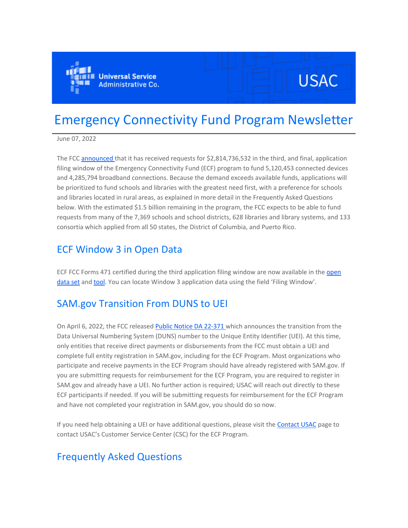

# **USAC**

## Emergency Connectivity Fund Program Newsletter

June 07, 2022

The FCC [announced t](https://eur01.safelinks.protection.outlook.com/?url=https%3A%2F%2Fclick.outreach.usac.org%2F%3Fqs%3Db8fdd92749bf7b9244b50dc70d8e370436bacb79596eee3ee3f01a1373181df1705a16611969b84a64ff4d7b8752b51267bb2ebf3e78761f&data=05%7C01%7CIngrid.Miranda-Paratore%40ey.com%7C1045929e307c462e9eb008da48b83777%7C5b973f9977df4bebb27daa0c70b8482c%7C0%7C0%7C637902253307701276%7CUnknown%7CTWFpbGZsb3d8eyJWIjoiMC4wLjAwMDAiLCJQIjoiV2luMzIiLCJBTiI6Ik1haWwiLCJXVCI6Mn0%3D%7C3000%7C%7C%7C&sdata=lQYdZyoOKYYBD3ydNk72h9TlpFdfHlXsHoD3HmyJuIM%3D&reserved=0)hat it has received requests for \$2,814,736,532 in the third, and final, application filing window of the Emergency Connectivity Fund (ECF) program to fund 5,120,453 connected devices and 4,285,794 broadband connections. Because the demand exceeds available funds, applications will be prioritized to fund schools and libraries with the greatest need first, with a preference for schools and libraries located in rural areas, as explained in more detail in the Frequently Asked Questions below. With the estimated \$1.5 billion remaining in the program, the FCC expects to be able to fund requests from many of the 7,369 schools and school districts, 628 libraries and library systems, and 133 consortia which applied from all 50 states, the District of Columbia, and Puerto Rico.

### ECF Window 3 in Open Data

ECF FCC Forms 471 certified during the third application filing window are now available in the [open](https://eur01.safelinks.protection.outlook.com/?url=https%3A%2F%2Fclick.outreach.usac.org%2F%3Fqs%3Db8fdd92749bf7b920efeebeb838d4ca1cdea1708b4a46359434c66ef0855b69b3c31405ca5b41850162a26121abe85418c52be70b83ef6c1&data=05%7C01%7CIngrid.Miranda-Paratore%40ey.com%7C1045929e307c462e9eb008da48b83777%7C5b973f9977df4bebb27daa0c70b8482c%7C0%7C0%7C637902253307701276%7CUnknown%7CTWFpbGZsb3d8eyJWIjoiMC4wLjAwMDAiLCJQIjoiV2luMzIiLCJBTiI6Ik1haWwiLCJXVCI6Mn0%3D%7C3000%7C%7C%7C&sdata=bO4VPbmURm2tuH%2BgP5JrX%2BMa1F4sOfYnkAHc%2BfHPKgQ%3D&reserved=0)  [data set](https://eur01.safelinks.protection.outlook.com/?url=https%3A%2F%2Fclick.outreach.usac.org%2F%3Fqs%3Db8fdd92749bf7b920efeebeb838d4ca1cdea1708b4a46359434c66ef0855b69b3c31405ca5b41850162a26121abe85418c52be70b83ef6c1&data=05%7C01%7CIngrid.Miranda-Paratore%40ey.com%7C1045929e307c462e9eb008da48b83777%7C5b973f9977df4bebb27daa0c70b8482c%7C0%7C0%7C637902253307701276%7CUnknown%7CTWFpbGZsb3d8eyJWIjoiMC4wLjAwMDAiLCJQIjoiV2luMzIiLCJBTiI6Ik1haWwiLCJXVCI6Mn0%3D%7C3000%7C%7C%7C&sdata=bO4VPbmURm2tuH%2BgP5JrX%2BMa1F4sOfYnkAHc%2BfHPKgQ%3D&reserved=0) and [tool](https://eur01.safelinks.protection.outlook.com/?url=https%3A%2F%2Fclick.outreach.usac.org%2F%3Fqs%3Db8fdd92749bf7b92401390c771154f89e2c7a41a34b771ffeb15b6651d2ac95f64f363b6116c6819bedffe4b14342e113d2c3a879e1e24dc&data=05%7C01%7CIngrid.Miranda-Paratore%40ey.com%7C1045929e307c462e9eb008da48b83777%7C5b973f9977df4bebb27daa0c70b8482c%7C0%7C0%7C637902253307701276%7CUnknown%7CTWFpbGZsb3d8eyJWIjoiMC4wLjAwMDAiLCJQIjoiV2luMzIiLCJBTiI6Ik1haWwiLCJXVCI6Mn0%3D%7C3000%7C%7C%7C&sdata=b2dtlANVPFwEQ1bfSeziDc3Z78a2eAkSUO%2FNQmCYWwE%3D&reserved=0). You can locate Window 3 application data using the field 'Filing Window'.

## SAM.gov Transition From DUNS to UEI

On April 6, 2022, the FCC released [Public Notice DA 22-371 w](https://eur01.safelinks.protection.outlook.com/?url=https%3A%2F%2Fclick.outreach.usac.org%2F%3Fqs%3Db8fdd92749bf7b92999aaefa8fb4ef810dcda78f9f04251821dcaba858bd2668e525a88363494e2dd11516d93b7cadbb6cc08b10c223a4ff&data=05%7C01%7CIngrid.Miranda-Paratore%40ey.com%7C1045929e307c462e9eb008da48b83777%7C5b973f9977df4bebb27daa0c70b8482c%7C0%7C0%7C637902253307701276%7CUnknown%7CTWFpbGZsb3d8eyJWIjoiMC4wLjAwMDAiLCJQIjoiV2luMzIiLCJBTiI6Ik1haWwiLCJXVCI6Mn0%3D%7C3000%7C%7C%7C&sdata=C2Mukt%2Fm7A2%2FnOCmU6v%2BkCi3dxpAL9HLNTNtupTLKSk%3D&reserved=0)hich announces the transition from the Data Universal Numbering System (DUNS) number to the Unique Entity Identifier (UEI). At this time, only entities that receive direct payments or disbursements from the FCC must obtain a UEI and complete full entity registration in SAM.gov, including for the ECF Program. Most organizations who participate and receive payments in the ECF Program should have already registered with SAM.gov. If you are submitting requests for reimbursement for the ECF Program, you are required to register in SAM.gov and already have a UEI. No further action is required; USAC will reach out directly to these ECF participants if needed. If you will be submitting requests for reimbursement for the ECF Program and have not completed your registration in SAM.gov, you should do so now.

If you need help obtaining a UEI or have additional questions, please visit the [Contact USAC](https://eur01.safelinks.protection.outlook.com/?url=https%3A%2F%2Fclick.outreach.usac.org%2F%3Fqs%3Db8fdd92749bf7b92f11d7acb77231cf72a9991252136e5dbc04bed6be2d87a5a15bbefc8e3f8e0a76cec399030ecc878706327b25237d552&data=05%7C01%7CIngrid.Miranda-Paratore%40ey.com%7C1045929e307c462e9eb008da48b83777%7C5b973f9977df4bebb27daa0c70b8482c%7C0%7C0%7C637902253307701276%7CUnknown%7CTWFpbGZsb3d8eyJWIjoiMC4wLjAwMDAiLCJQIjoiV2luMzIiLCJBTiI6Ik1haWwiLCJXVCI6Mn0%3D%7C3000%7C%7C%7C&sdata=97cFA6%2FgwUkB4xvoch9lIuS0cAj4fGhP7Ku7FAg59as%3D&reserved=0) page to contact USAC's Customer Service Center (CSC) for the ECF Program.

## Frequently Asked Questions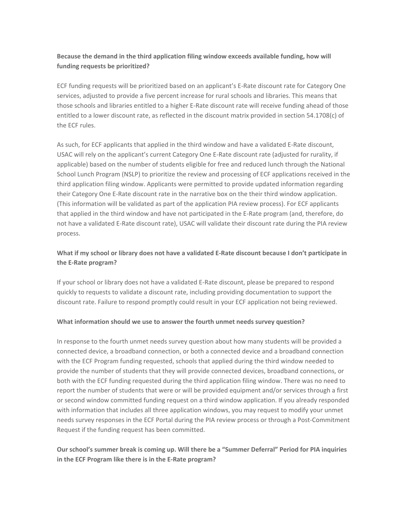#### **Because the demand in the third application filing window exceeds available funding, how will funding requests be prioritized?**

ECF funding requests will be prioritized based on an applicant's E-Rate discount rate for Category One services, adjusted to provide a five percent increase for rural schools and libraries. This means that those schools and libraries entitled to a higher E-Rate discount rate will receive funding ahead of those entitled to a lower discount rate, as reflected in the discount matrix provided in section 54.1708(c) of the ECF rules.

As such, for ECF applicants that applied in the third window and have a validated E-Rate discount, USAC will rely on the applicant's current Category One E-Rate discount rate (adjusted for rurality, if applicable) based on the number of students eligible for free and reduced lunch through the National School Lunch Program (NSLP) to prioritize the review and processing of ECF applications received in the third application filing window. Applicants were permitted to provide updated information regarding their Category One E-Rate discount rate in the narrative box on the their third window application. (This information will be validated as part of the application PIA review process). For ECF applicants that applied in the third window and have not participated in the E-Rate program (and, therefore, do not have a validated E-Rate discount rate), USAC will validate their discount rate during the PIA review process.

#### **What if my school or library does not have a validated E-Rate discount because I don't participate in the E-Rate program?**

If your school or library does not have a validated E-Rate discount, please be prepared to respond quickly to requests to validate a discount rate, including providing documentation to support the discount rate. Failure to respond promptly could result in your ECF application not being reviewed.

#### **What information should we use to answer the fourth unmet needs survey question?**

In response to the fourth unmet needs survey question about how many students will be provided a connected device, a broadband connection, or both a connected device and a broadband connection with the ECF Program funding requested, schools that applied during the third window needed to provide the number of students that they will provide connected devices, broadband connections, or both with the ECF funding requested during the third application filing window. There was no need to report the number of students that were or will be provided equipment and/or services through a first or second window committed funding request on a third window application. If you already responded with information that includes all three application windows, you may request to modify your unmet needs survey responses in the ECF Portal during the PIA review process or through a Post-Commitment Request if the funding request has been committed.

#### **Our school's summer break is coming up. Will there be a "Summer Deferral" Period for PIA inquiries in the ECF Program like there is in the E-Rate program?**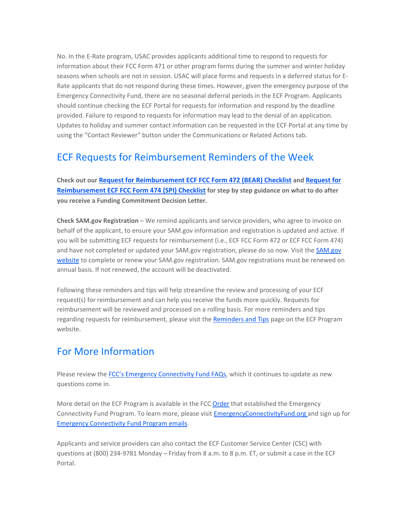No. In the E-Rate program, USAC provides applicants additional time to respond to requests for information about their FCC Form 471 or other program forms during the summer and winter holiday seasons when schools are not in session. USAC will place forms and requests in a deferred status for E-Rate applicants that do not respond during these times. However, given the emergency purpose of the Emergency Connectivity Fund, there are no seasonal deferral periods in the ECF Program. Applicants should continue checking the ECF Portal for requests for information and respond by the deadline provided. Failure to respond to requests for information may lead to the denial of an application. Updates to holiday and summer contact information can be requested in the ECF Portal at any time by using the "Contact Reviewer" button under the Communications or Related Actions tab.

## ECF Requests for Reimbursement Reminders of the Week

**Check out our [Request for Reimbursement ECF FCC Form 472 \(BEAR\) Checklist](https://eur01.safelinks.protection.outlook.com/?url=https%3A%2F%2Fclick.outreach.usac.org%2F%3Fqs%3Db8fdd92749bf7b92e212f917c3cf3318bc7f875d44026467a3c86c314a99dea345f65008a29729ca5e3c2bc54a3ec80739394fa98f9ddf8a&data=05%7C01%7CIngrid.Miranda-Paratore%40ey.com%7C1045929e307c462e9eb008da48b83777%7C5b973f9977df4bebb27daa0c70b8482c%7C0%7C0%7C637902253307701276%7CUnknown%7CTWFpbGZsb3d8eyJWIjoiMC4wLjAwMDAiLCJQIjoiV2luMzIiLCJBTiI6Ik1haWwiLCJXVCI6Mn0%3D%7C3000%7C%7C%7C&sdata=LExEoD4bxThtJNHfesLhMoPqfzFBlA4nU4ELEP6r9ZM%3D&reserved=0) and [Request for](https://eur01.safelinks.protection.outlook.com/?url=https%3A%2F%2Fclick.outreach.usac.org%2F%3Fqs%3Db8fdd92749bf7b92eed139506e5e134ac446633501927043b5050278cfd0063eb832c3f20a67cdb4d59ead08c001ab8a051b88c78f1eb10c&data=05%7C01%7CIngrid.Miranda-Paratore%40ey.com%7C1045929e307c462e9eb008da48b83777%7C5b973f9977df4bebb27daa0c70b8482c%7C0%7C0%7C637902253307701276%7CUnknown%7CTWFpbGZsb3d8eyJWIjoiMC4wLjAwMDAiLCJQIjoiV2luMzIiLCJBTiI6Ik1haWwiLCJXVCI6Mn0%3D%7C3000%7C%7C%7C&sdata=UKh5xBDnFXNIoTT20mCRswUdSJ8WtvmZ9%2Bs2XKmDHdc%3D&reserved=0)  [Reimbursement ECF FCC Form 474 \(SPI\) Checklist](https://eur01.safelinks.protection.outlook.com/?url=https%3A%2F%2Fclick.outreach.usac.org%2F%3Fqs%3Db8fdd92749bf7b92eed139506e5e134ac446633501927043b5050278cfd0063eb832c3f20a67cdb4d59ead08c001ab8a051b88c78f1eb10c&data=05%7C01%7CIngrid.Miranda-Paratore%40ey.com%7C1045929e307c462e9eb008da48b83777%7C5b973f9977df4bebb27daa0c70b8482c%7C0%7C0%7C637902253307701276%7CUnknown%7CTWFpbGZsb3d8eyJWIjoiMC4wLjAwMDAiLCJQIjoiV2luMzIiLCJBTiI6Ik1haWwiLCJXVCI6Mn0%3D%7C3000%7C%7C%7C&sdata=UKh5xBDnFXNIoTT20mCRswUdSJ8WtvmZ9%2Bs2XKmDHdc%3D&reserved=0) for step by step guidance on what to do after you receive a Funding Commitment Decision Letter.**

**Check SAM.gov Registration** – We remind applicants and service providers, who agree to invoice on behalf of the applicant, to ensure your SAM.gov information and registration is updated and active. If you will be submitting ECF requests for reimbursement (i.e., ECF FCC Form 472 or ECF FCC Form 474) and have not completed or updated your [SAM.gov](https://eur01.safelinks.protection.outlook.com/?url=https%3A%2F%2Fclick.outreach.usac.org%2F%3Fqs%3Db8fdd92749bf7b92c943a56364e360b46029156d9c2e74a7f1d86749b985bec0189202b495a4c5416baab307025154398d0d8e7981fcadab&data=05%7C01%7CIngrid.Miranda-Paratore%40ey.com%7C1045929e307c462e9eb008da48b83777%7C5b973f9977df4bebb27daa0c70b8482c%7C0%7C0%7C637902253307701276%7CUnknown%7CTWFpbGZsb3d8eyJWIjoiMC4wLjAwMDAiLCJQIjoiV2luMzIiLCJBTiI6Ik1haWwiLCJXVCI6Mn0%3D%7C3000%7C%7C%7C&sdata=p%2FPyYshUReZlEVblefxsEdH9Hnfp0HOvb1ozcrvXkTU%3D&reserved=0) registration, please do so now. Visit the SAM.gov [website](https://eur01.safelinks.protection.outlook.com/?url=https%3A%2F%2Fclick.outreach.usac.org%2F%3Fqs%3Db8fdd92749bf7b92c943a56364e360b46029156d9c2e74a7f1d86749b985bec0189202b495a4c5416baab307025154398d0d8e7981fcadab&data=05%7C01%7CIngrid.Miranda-Paratore%40ey.com%7C1045929e307c462e9eb008da48b83777%7C5b973f9977df4bebb27daa0c70b8482c%7C0%7C0%7C637902253307701276%7CUnknown%7CTWFpbGZsb3d8eyJWIjoiMC4wLjAwMDAiLCJQIjoiV2luMzIiLCJBTiI6Ik1haWwiLCJXVCI6Mn0%3D%7C3000%7C%7C%7C&sdata=p%2FPyYshUReZlEVblefxsEdH9Hnfp0HOvb1ozcrvXkTU%3D&reserved=0) to complete or renew your SAM.gov registration. SAM.gov registrations must be renewed on annual basis. If not renewed, the account will be deactivated.

Following these reminders and tips will help streamline the review and processing of your ECF request(s) for reimbursement and can help you receive the funds more quickly. Requests for reimbursement will be reviewed and processed on a rolling basis. For more reminders and tips regarding requests for reimbursement, please visit the [Reminders and Tips](https://eur01.safelinks.protection.outlook.com/?url=https%3A%2F%2Fclick.outreach.usac.org%2F%3Fqs%3Db8fdd92749bf7b921f9cd3a1135937c90a1a7619efb8358efe77c80cdb3183c4a18df5bc6aadf8aafb1e9d88f0a4d380d7e1121e406c177a&data=05%7C01%7CIngrid.Miranda-Paratore%40ey.com%7C1045929e307c462e9eb008da48b83777%7C5b973f9977df4bebb27daa0c70b8482c%7C0%7C0%7C637902253307701276%7CUnknown%7CTWFpbGZsb3d8eyJWIjoiMC4wLjAwMDAiLCJQIjoiV2luMzIiLCJBTiI6Ik1haWwiLCJXVCI6Mn0%3D%7C3000%7C%7C%7C&sdata=SFwByk4nIHKwFGcqcKN5jbHHcwaZ%2Bb0W1ec5z6S1gXE%3D&reserved=0) page on the ECF Program website.

## For More Information

Please review the [FCC's Emergency Connectivity Fund FAQs](https://eur01.safelinks.protection.outlook.com/?url=https%3A%2F%2Fclick.outreach.usac.org%2F%3Fqs%3Db8fdd92749bf7b922f57497693ff715c3a203d113294970b3768d654ebde40a7b7e869b9cb32c6235349a15da0caa59f438577fd99a75528&data=05%7C01%7CIngrid.Miranda-Paratore%40ey.com%7C1045929e307c462e9eb008da48b83777%7C5b973f9977df4bebb27daa0c70b8482c%7C0%7C0%7C637902253307701276%7CUnknown%7CTWFpbGZsb3d8eyJWIjoiMC4wLjAwMDAiLCJQIjoiV2luMzIiLCJBTiI6Ik1haWwiLCJXVCI6Mn0%3D%7C3000%7C%7C%7C&sdata=qkvr5ZJ3uLZCdWVfGg%2Fa79DxuPHdFv3mTsbtrVk38Dg%3D&reserved=0), which it continues to update as new questions come in.

More detail on the ECF Program is available in the FCC [Order](https://eur01.safelinks.protection.outlook.com/?url=https%3A%2F%2Fclick.outreach.usac.org%2F%3Fqs%3Db8fdd92749bf7b92740578f184055b3a95cfe29b84d256475684c49a29742ff056e32a8f4b7de92b33c86f9254e2f2327b341fb4d9773d5f&data=05%7C01%7CIngrid.Miranda-Paratore%40ey.com%7C1045929e307c462e9eb008da48b83777%7C5b973f9977df4bebb27daa0c70b8482c%7C0%7C0%7C637902253307701276%7CUnknown%7CTWFpbGZsb3d8eyJWIjoiMC4wLjAwMDAiLCJQIjoiV2luMzIiLCJBTiI6Ik1haWwiLCJXVCI6Mn0%3D%7C3000%7C%7C%7C&sdata=voavAZx1lNad%2FoZRzeK%2BG2q%2FBxWsS9Y0ad6r82bskdE%3D&reserved=0) that established the Emergency Connectivity Fund Program. To learn more, please visit [EmergencyConnectivityFund.org a](https://eur01.safelinks.protection.outlook.com/?url=https%3A%2F%2Fclick.outreach.usac.org%2F%3Fqs%3Db8fdd92749bf7b92c159eda3dfdda0755460d947d142b7a65b838c9a53598778a6eaf599608a988ba67646fc67603b416a336d97d7a0e967&data=05%7C01%7CIngrid.Miranda-Paratore%40ey.com%7C1045929e307c462e9eb008da48b83777%7C5b973f9977df4bebb27daa0c70b8482c%7C0%7C0%7C637902253307701276%7CUnknown%7CTWFpbGZsb3d8eyJWIjoiMC4wLjAwMDAiLCJQIjoiV2luMzIiLCJBTiI6Ik1haWwiLCJXVCI6Mn0%3D%7C3000%7C%7C%7C&sdata=Yg%2FRkVxdaRQNj0EXNfHsTAJa1KXOG6jelUrcpY7HAbA%3D&reserved=0)nd sign up for [Emergency Connectivity Fund Program emails.](https://eur01.safelinks.protection.outlook.com/?url=https%3A%2F%2Fclick.outreach.usac.org%2F%3Fqs%3Db8fdd92749bf7b92b1938d86e922a29135f25c0e634e3eb650aec279e62a0ce06492c74926554ff6ee68cf6b444cde1d77516e2e04b0827e&data=05%7C01%7CIngrid.Miranda-Paratore%40ey.com%7C1045929e307c462e9eb008da48b83777%7C5b973f9977df4bebb27daa0c70b8482c%7C0%7C0%7C637902253307701276%7CUnknown%7CTWFpbGZsb3d8eyJWIjoiMC4wLjAwMDAiLCJQIjoiV2luMzIiLCJBTiI6Ik1haWwiLCJXVCI6Mn0%3D%7C3000%7C%7C%7C&sdata=kYPsfam1GUkRV0i4MecbudGocY8LqTku17wPTJ01QoU%3D&reserved=0)

Applicants and service providers can also contact the ECF Customer Service Center (CSC) with questions at (800) 234-9781 Monday – Friday from 8 a.m. to 8 p.m. ET, or submit a case in the ECF Portal.